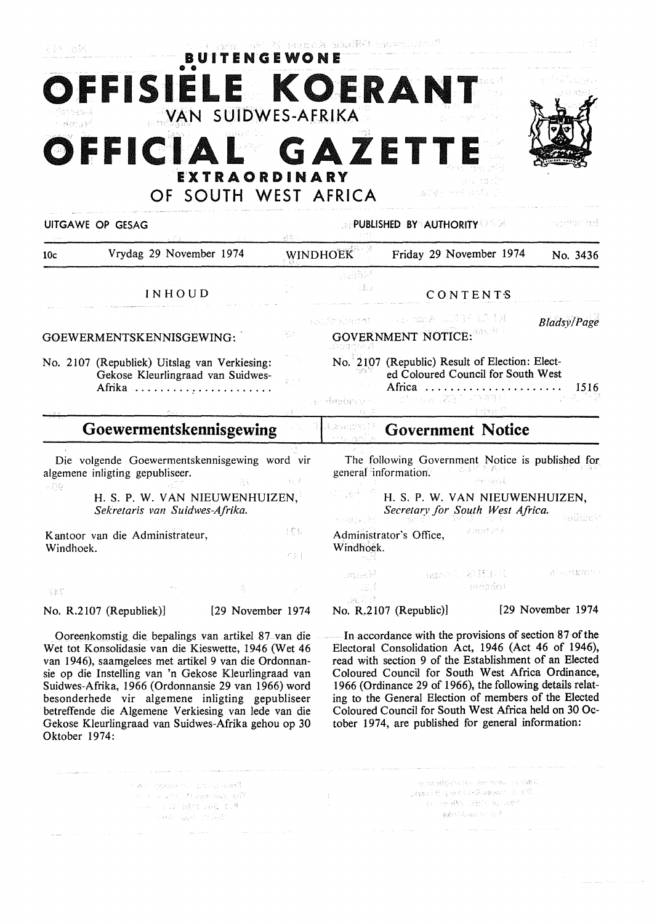| alia wa Ki                                   |                                                                                                                                                                                                                                                                                                                                                                                                                                                       | The Daniel Office Kounsel Kard<br>ENGEWONE |                                        |                                                                                                                                                                                                                                                                                                                                                                                                                                                                   |                      |                    |
|----------------------------------------------|-------------------------------------------------------------------------------------------------------------------------------------------------------------------------------------------------------------------------------------------------------------------------------------------------------------------------------------------------------------------------------------------------------------------------------------------------------|--------------------------------------------|----------------------------------------|-------------------------------------------------------------------------------------------------------------------------------------------------------------------------------------------------------------------------------------------------------------------------------------------------------------------------------------------------------------------------------------------------------------------------------------------------------------------|----------------------|--------------------|
|                                              | OFFISIELE KOERANT<br>VAN SUIDWES-AFRIKA<br>OFFICIAL GAZETTE<br>EXTRAORDINARY                                                                                                                                                                                                                                                                                                                                                                          |                                            |                                        |                                                                                                                                                                                                                                                                                                                                                                                                                                                                   |                      |                    |
| UITGAWE OP GESAG                             | OF SOUTH WEST AFRICA                                                                                                                                                                                                                                                                                                                                                                                                                                  |                                            |                                        | (風があり) みゃくぶんり でん<br><b>EXPUBLISHED BY AUTHORITY AND</b>                                                                                                                                                                                                                                                                                                                                                                                                           |                      | 가난 대학 남이 겨울 택      |
| 10c                                          | Vrydag 29 November 1974                                                                                                                                                                                                                                                                                                                                                                                                                               | 終却:<br><b>WINDHOEK</b>                     |                                        | Friday 29 November 1974                                                                                                                                                                                                                                                                                                                                                                                                                                           |                      | No. 3436           |
|                                              | INHOUD                                                                                                                                                                                                                                                                                                                                                                                                                                                |                                            | U.                                     | CONTENTS                                                                                                                                                                                                                                                                                                                                                                                                                                                          |                      |                    |
| GOEWERMENTSKENNISGEWING:                     |                                                                                                                                                                                                                                                                                                                                                                                                                                                       | 작은                                         |                                        | ET OF PTRUGHT - HE REPORTED THE STATE OF THE SECOND PROPERTY OF THE UPPER OF THE UPPER OF THE UPPER OF THE UPPER OF THE UPPER OF THE UPPER OF THE UPPER OF THE UPPER OF THE UPPER OF THE UPPER OF THE UPPER OF THE UPPER OF TH<br><b>GOVERNMENT NOTICE:</b>                                                                                                                                                                                                       |                      | <b>Bladsy/Page</b> |
|                                              | No. 2107 (Republiek) Uitslag van Verkiesing:<br>Gekose Kleurlingraad van Suidwes-<br>Afrika                                                                                                                                                                                                                                                                                                                                                           |                                            | .ខ <i></i> ាត់សង់សង                    | No. <sup>8</sup> 2107 (Republic) Result of Election: Elect-<br>ed Coloured Council for South West<br>Africa<br>计时间设置 医强迫 医脑脊髓肿                                                                                                                                                                                                                                                                                                                                    | 강식체 남이다              | 1516               |
|                                              | Goewermentskennisgewing                                                                                                                                                                                                                                                                                                                                                                                                                               |                                            |                                        | <b>Government Notice</b>                                                                                                                                                                                                                                                                                                                                                                                                                                          |                      |                    |
| algemene inligting gepubliseer.<br>- 89      | Die volgende Goewermentskennisgewing word vir<br>H. S. P. W. VAN NIEUWENHUIZEN,<br>Sekretaris van Suidwes-Afrika.                                                                                                                                                                                                                                                                                                                                     |                                            | general information.<br>医白线红毛目         | The following Government Notice is published for<br>H. S. P. W. VAN NIEUWENHUIZEN.<br>Secretary for South West Africa.                                                                                                                                                                                                                                                                                                                                            | 甲酚 网络药属              |                    |
| Kantoor van die Administrateur,<br>Windhoek. |                                                                                                                                                                                                                                                                                                                                                                                                                                                       | 主义科<br>주도를                                 | Windhoek.                              | Administrator's Office,                                                                                                                                                                                                                                                                                                                                                                                                                                           | anon'i S             |                    |
| 马教皇                                          | 육                                                                                                                                                                                                                                                                                                                                                                                                                                                     | $\ell_{\rm eff}^{\rm (in)}$                | usia <sup>ya</sup><br>ua t<br>Lagil 13 | <b>Little Cover</b>                                                                                                                                                                                                                                                                                                                                                                                                                                               | ់ - អេយារ <b>ែ</b> ! | 第198月代監督部長         |
| No. $R.2107$ (Republiek)]                    | [29 November 1974                                                                                                                                                                                                                                                                                                                                                                                                                                     |                                            |                                        | No. R.2107 (Republic).                                                                                                                                                                                                                                                                                                                                                                                                                                            |                      | [29 November 1974  |
|                                              | Ooreenkomstig die bepalings van artikel 87 van die<br>Wet tot Konsolidasie van die Kieswette, 1946 (Wet 46<br>van 1946), saamgelees met artikel 9 van die Ordonnan-<br>sie op die Instelling van 'n Gekose Kleurlingraad van<br>Suidwes-Afrika, 1966 (Ordonnansie 29 van 1966) word<br>besonderhede vir algemene inligting gepubliseer<br>betreffende die Algemene Verkiesing van lede van die<br>Gekose Kleurlingraad van Suidwes-Afrika gehou op 30 |                                            |                                        | In accordance with the provisions of section 87 of the<br>Electoral Consolidation Act, 1946 (Act 46 of 1946),<br>read with section 9 of the Establishment of an Elected<br>Coloured Council for South West Africa Ordinance,<br>1966 (Ordinance 29 of 1966), the following details relat-<br>ing to the General Election of members of the Elected<br>Coloured Council for South West Africa held on 30 Oc-<br>tober 1974, are published for general information: |                      |                    |

| i e avec d'Aspar el Calanti Suppl <sup>a</sup> l.<br>i sa ng ng mga ito ngawinagay nasilin<br>- 新田 (日本) (鉄道) (鉄道) (鉄道) (地位)<br>医神话 医副脉冲器 网络 | - 20 | - 14 MAC LOST MATCH REPORTED THE ENDING.<br>් යුද්දනය සි පෙසේ වැඩේ දෙනෙහෙ යි. කිරීමට<br>- 18 20 Hotel 유학자 - 대한 자기 최고 2014년 -<br>- "我最后的我,就会太大的时候。" |
|---------------------------------------------------------------------------------------------------------------------------------------------|------|----------------------------------------------------------------------------------------------------------------------------------------------------|
|---------------------------------------------------------------------------------------------------------------------------------------------|------|----------------------------------------------------------------------------------------------------------------------------------------------------|

Oktober 1974: